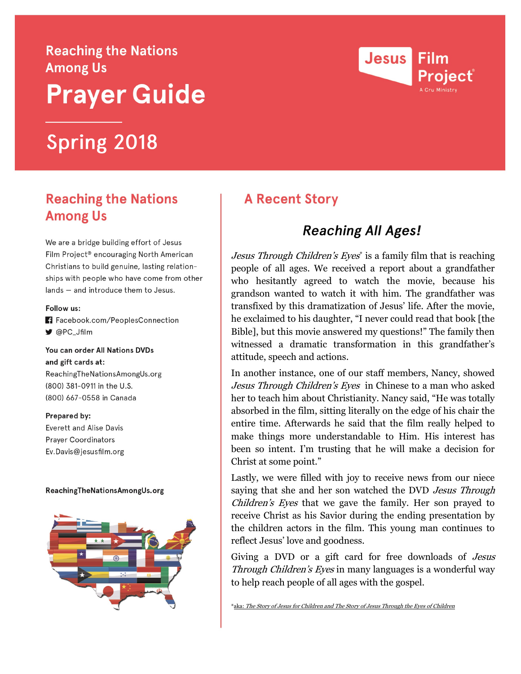# **Reaching the Nations Among Us Prayer Guide**

# **Spring 2018**

### **Reaching the Nations Among Us**

We are a bridge building effort of Jesus Film Project<sup>®</sup> encouraging North American Christians to build genuine, lasting relationships with people who have come from other lands - and introduce them to Jesus.

#### Follow us:

- Fi Facebook.com/PeoplesConnection
- ♥ @PC\_Jfilm

You can order All Nations DVDs and gift cards at: ReachingTheNationsAmongUs.org (800) 381-0911 in the U.S. (800) 667-0558 in Canada

#### Prepared by:

**Everett and Alise Davis Prayer Coordinators** Ev.Davis@jesusfilm.org

#### ReachingTheNationsAmongUs.org





### **A Recent Story**

## **Reaching All Ages!**

Jesus Through Children's Eyes<sup>\*</sup> is a family film that is reaching people of all ages. We received a report about a grandfather who hesitantly agreed to watch the movie, because his grandson wanted to watch it with him. The grandfather was transfixed by this dramatization of Jesus' life. After the movie, he exclaimed to his daughter, "I never could read that book [the Bible], but this movie answered my questions!" The family then witnessed a dramatic transformation in this grandfather's attitude, speech and actions.

In another instance, one of our staff members, Nancy, showed Jesus Through Children's Eyes in Chinese to a man who asked her to teach him about Christianity. Nancy said, "He was totally absorbed in the film, sitting literally on the edge of his chair the entire time. Afterwards he said that the film really helped to make things more understandable to Him. His interest has been so intent. I'm trusting that he will make a decision for Christ at some point."

Lastly, we were filled with joy to receive news from our niece saying that she and her son watched the DVD *Jesus Through* Children's Eyes that we gave the family. Her son prayed to receive Christ as his Savior during the ending presentation by the children actors in the film. This young man continues to reflect Jesus' love and goodness.

Giving a DVD or a gift card for free downloads of *Jesus* Through Children's Eyes in many languages is a wonderful way to help reach people of all ages with the gospel.

\*aka: The Story of Jesus for Children and The Story of Jesus Through the Eyes of Children